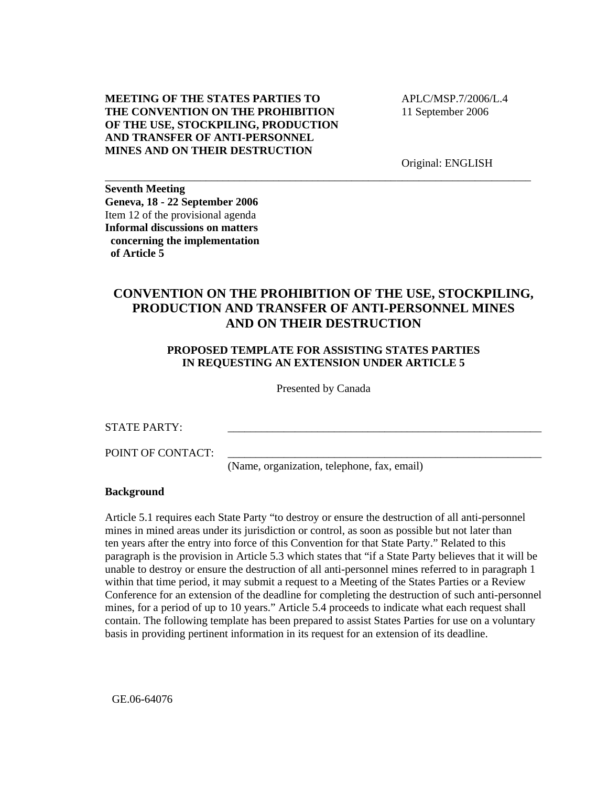## **MEETING OF THE STATES PARTIES TO THE CONVENTION ON THE PROHIBITION OF THE USE, STOCKPILING, PRODUCTION AND TRANSFER OF ANTI-PERSONNEL MINES AND ON THEIR DESTRUCTION**

 APLC/MSP.7/2006/L.4 11 September 2006

Original: ENGLISH

**Seventh Meeting Geneva, 18 - 22 September 2006**  Item 12 of the provisional agenda **Informal discussions on matters concerning the implementation of Article 5** 

## **CONVENTION ON THE PROHIBITION OF THE USE, STOCKPILING, PRODUCTION AND TRANSFER OF ANTI-PERSONNEL MINES AND ON THEIR DESTRUCTION**

\_\_\_\_\_\_\_\_\_\_\_\_\_\_\_\_\_\_\_\_\_\_\_\_\_\_\_\_\_\_\_\_\_\_\_\_\_\_\_\_\_\_\_\_\_\_\_\_\_\_\_\_\_\_\_\_\_\_\_\_\_\_\_\_\_\_\_\_\_\_\_\_\_\_\_\_

## **PROPOSED TEMPLATE FOR ASSISTING STATES PARTIES IN REQUESTING AN EXTENSION UNDER ARTICLE 5**

Presented by Canada

STATE PARTY:

POINT OF CONTACT:

(Name, organization, telephone, fax, email)

\_\_\_\_\_\_\_\_\_\_\_\_\_\_\_\_\_\_\_\_\_\_\_\_\_\_\_\_\_\_\_\_\_\_\_\_\_\_\_\_\_\_\_\_\_\_\_\_\_\_\_\_\_\_\_\_

#### **Background**

Article 5.1 requires each State Party "to destroy or ensure the destruction of all anti-personnel mines in mined areas under its jurisdiction or control, as soon as possible but not later than ten years after the entry into force of this Convention for that State Party." Related to this paragraph is the provision in Article 5.3 which states that "if a State Party believes that it will be unable to destroy or ensure the destruction of all anti-personnel mines referred to in paragraph 1 within that time period, it may submit a request to a Meeting of the States Parties or a Review Conference for an extension of the deadline for completing the destruction of such anti-personnel mines, for a period of up to 10 years." Article 5.4 proceeds to indicate what each request shall contain. The following template has been prepared to assist States Parties for use on a voluntary basis in providing pertinent information in its request for an extension of its deadline.

GE.06-64076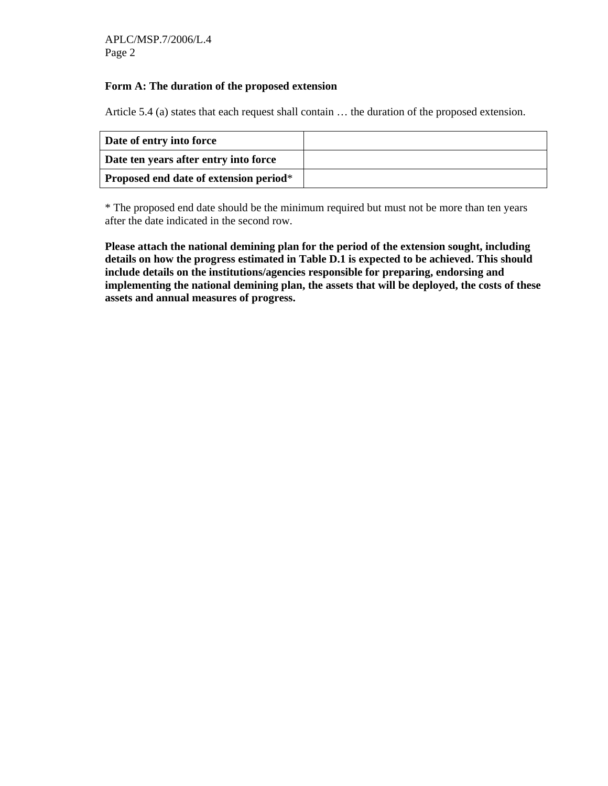## **Form A: The duration of the proposed extension**

Article 5.4 (a) states that each request shall contain … the duration of the proposed extension.

| Date of entry into force                      |  |
|-----------------------------------------------|--|
| Date ten years after entry into force         |  |
| <b>Proposed end date of extension period*</b> |  |

\* The proposed end date should be the minimum required but must not be more than ten years after the date indicated in the second row.

**Please attach the national demining plan for the period of the extension sought, including details on how the progress estimated in Table D.1 is expected to be achieved. This should include details on the institutions/agencies responsible for preparing, endorsing and implementing the national demining plan, the assets that will be deployed, the costs of these assets and annual measures of progress.**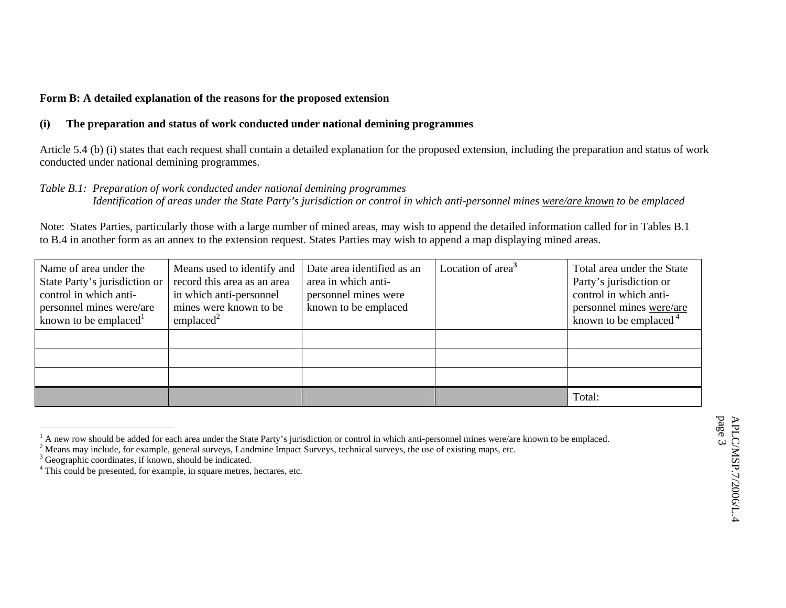## **Form B: A detailed explanation of the reasons for the proposed extension**

#### **(i) The preparation and status of work conducted under national demining programmes**

Article 5.4 (b) (i) states that each request shall contain a detailed explanation for the proposed extension, including the preparation and status of work conducted under national demining programmes.

#### *Table B.1: Preparation of work conducted under national demining programmes*

 *Identification of areas under the State Party's jurisdiction or control in which anti-personnel mines were/are known to be emplaced* 

Note: States Parties, particularly those with a large number of mined areas, may wish to append the detailed information called for in Tables B.1 to B.4 in another form as an annex to the extension request. States Parties may wish to append a map displaying mined areas.

| Name of area under the<br>State Party's jurisdiction or<br>control in which anti-<br>personnel mines were/are<br>known to be emplaced <sup>1</sup> | Means used to identify and<br>record this area as an area<br>in which anti-personnel<br>mines were known to be<br>emplaced $2$ | Date area identified as an<br>area in which anti-<br>personnel mines were<br>known to be emplaced | Location of area <sup>3</sup> | Total area under the State<br>Party's jurisdiction or<br>control in which anti-<br>personnel mines were/are<br>known to be emplaced $4$ |
|----------------------------------------------------------------------------------------------------------------------------------------------------|--------------------------------------------------------------------------------------------------------------------------------|---------------------------------------------------------------------------------------------------|-------------------------------|-----------------------------------------------------------------------------------------------------------------------------------------|
|                                                                                                                                                    |                                                                                                                                |                                                                                                   |                               |                                                                                                                                         |
|                                                                                                                                                    |                                                                                                                                |                                                                                                   |                               |                                                                                                                                         |
|                                                                                                                                                    |                                                                                                                                |                                                                                                   |                               |                                                                                                                                         |
|                                                                                                                                                    |                                                                                                                                |                                                                                                   |                               | Total:                                                                                                                                  |

<sup>&</sup>lt;sup>1</sup> A new row should be added for each area under the State Party's jurisdiction or control in which anti-personnel mines were/are known to be emplaced.

<sup>&</sup>lt;sup>2</sup> Means may include, for example, general surveys, Landmine Impact Surveys, technical surveys, the use of existing maps, etc.

 $3$  Geographic coordinates, if known, should be indicated.

<sup>&</sup>lt;sup>4</sup> This could be presented, for example, in square metres, hectares, etc.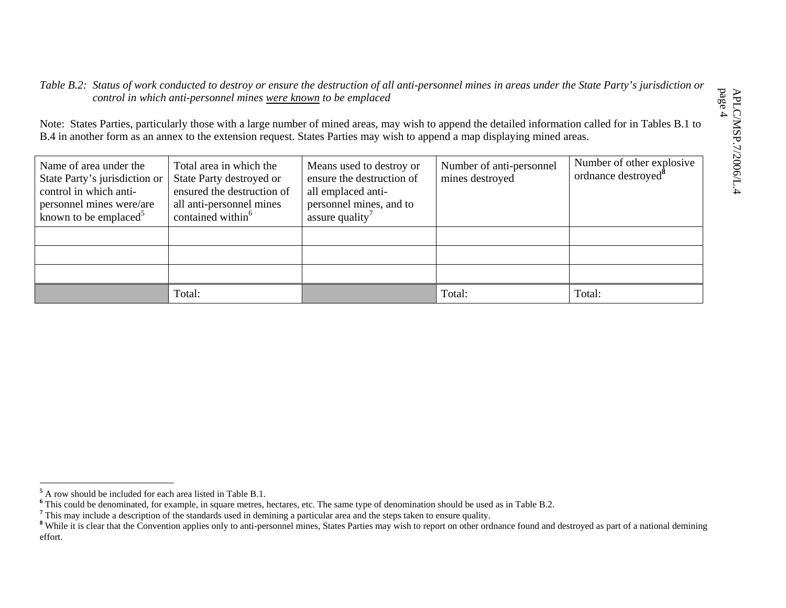## *Table B.2: Status of work conducted to destroy or ensure the destruction of all anti-personnel mines in areas under the State Party's jurisdiction or control in which anti-personnel mines were known to be emplaced*

Note: States Parties, particularly those with a large number of mined areas, may wish to append the detailed information called for in Tables B.1 to B.4 in another form as an annex to the extension request. States Parties may wish to append a map displaying mined areas.

| Name of area under the<br>State Party's jurisdiction or<br>control in which anti-<br>personnel mines were/are<br>known to be emplaced <sup>5</sup> | Total area in which the<br>State Party destroyed or<br>ensured the destruction of<br>all anti-personnel mines<br>contained within <sup>6</sup> | Means used to destroy or<br>ensure the destruction of<br>all emplaced anti-<br>personnel mines, and to<br>assure quality <sup>7</sup> | Number of anti-personnel<br>mines destroyed | Number of other explosive<br>ordnance destroyed <sup>®</sup> |
|----------------------------------------------------------------------------------------------------------------------------------------------------|------------------------------------------------------------------------------------------------------------------------------------------------|---------------------------------------------------------------------------------------------------------------------------------------|---------------------------------------------|--------------------------------------------------------------|
|                                                                                                                                                    |                                                                                                                                                |                                                                                                                                       |                                             |                                                              |
|                                                                                                                                                    |                                                                                                                                                |                                                                                                                                       |                                             |                                                              |
|                                                                                                                                                    |                                                                                                                                                |                                                                                                                                       |                                             |                                                              |
|                                                                                                                                                    | Total:                                                                                                                                         |                                                                                                                                       | Total:                                      | Total:                                                       |

**<sup>5</sup>** A row should be included for each area listed in Table B.1.

**<sup>6</sup>** This could be denominated, for example, in square metres, hectares, etc. The same type of denomination should be used as in Table B.2.

<sup>&</sup>lt;sup>7</sup> This may include a description of the standards used in demining a particular area and the steps taken to ensure quality.

<sup>&</sup>lt;sup>8</sup> While it is clear that the Convention applies only to anti-personnel mines, States Parties may wish to report on other ordnance found and destroyed as part of a national demining effort.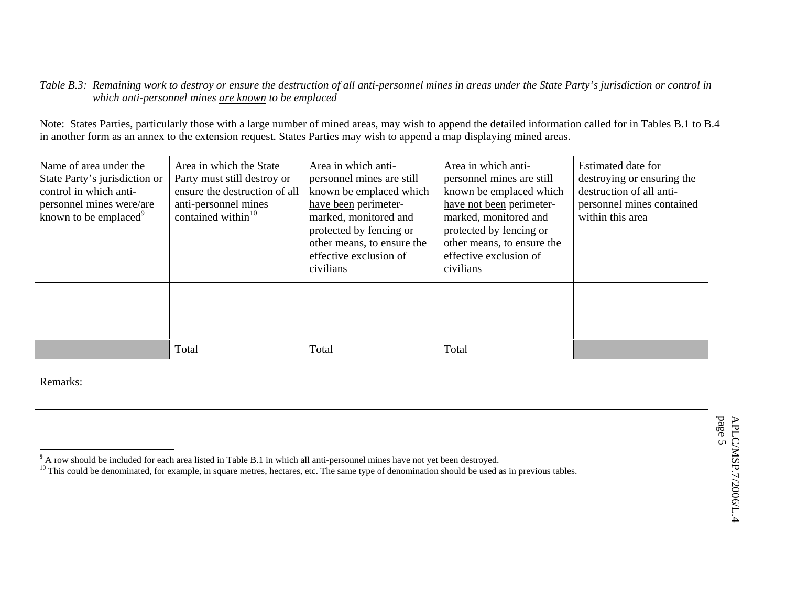## *Table B.3: Remaining work to destroy or ensure the destruction of all anti-personnel mines in areas under the State Party's jurisdiction or control in which anti-personnel mines are known to be emplaced*

Note: States Parties, particularly those with a large number of mined areas, may wish to append the detailed information called for in Tables B.1 to B.4 in another form as an annex to the extension request. States Parties may wish to append a map displaying mined areas.

| Name of area under the<br>State Party's jurisdiction or<br>control in which anti-<br>personnel mines were/are<br>known to be emplaced <sup>9</sup> | Area in which the State<br>Party must still destroy or<br>ensure the destruction of all<br>anti-personnel mines<br>contained within $10$ | Area in which anti-<br>personnel mines are still<br>known be emplaced which<br>have been perimeter-<br>marked, monitored and<br>protected by fencing or<br>other means, to ensure the<br>effective exclusion of<br>civilians | Area in which anti-<br>personnel mines are still<br>known be emplaced which<br>have not been perimeter-<br>marked, monitored and<br>protected by fencing or<br>other means, to ensure the<br>effective exclusion of<br>civilians | Estimated date for<br>destroying or ensuring the<br>destruction of all anti-<br>personnel mines contained<br>within this area |
|----------------------------------------------------------------------------------------------------------------------------------------------------|------------------------------------------------------------------------------------------------------------------------------------------|------------------------------------------------------------------------------------------------------------------------------------------------------------------------------------------------------------------------------|----------------------------------------------------------------------------------------------------------------------------------------------------------------------------------------------------------------------------------|-------------------------------------------------------------------------------------------------------------------------------|
|                                                                                                                                                    |                                                                                                                                          |                                                                                                                                                                                                                              |                                                                                                                                                                                                                                  |                                                                                                                               |
|                                                                                                                                                    |                                                                                                                                          |                                                                                                                                                                                                                              |                                                                                                                                                                                                                                  |                                                                                                                               |
|                                                                                                                                                    |                                                                                                                                          |                                                                                                                                                                                                                              |                                                                                                                                                                                                                                  |                                                                                                                               |
|                                                                                                                                                    | Total                                                                                                                                    | Total                                                                                                                                                                                                                        | Total                                                                                                                                                                                                                            |                                                                                                                               |

**<sup>9</sup>** A row should be included for each area listed in Table B.1 in which all anti-personnel mines have not yet been destroyed.

 $10$  This could be denominated, for example, in square metres, hectares, etc. The same type of denomination should be used as in previous tables.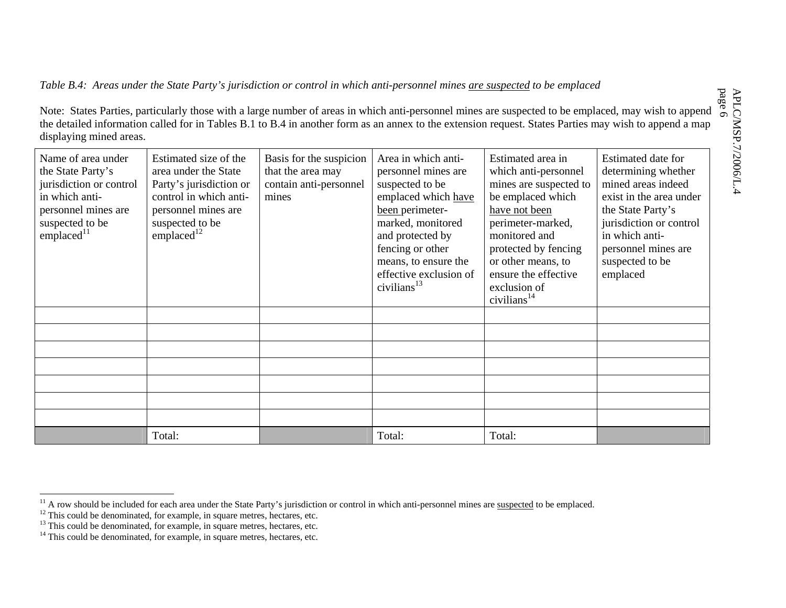*Table B.4: Areas under the State Party's jurisdiction or control in which anti-personnel mines are suspected to be emplaced* 

Note: States Parties, particularly those with a large number of areas in which anti-personnel mines are suspected to be emplaced, may wish to append the detailed information called for in Tables B.1 to B.4 in another form as an annex to the extension request. States Parties may wish to append a map displaying mined areas.

| Name of area under<br>the State Party's<br>jurisdiction or control<br>in which anti-<br>personnel mines are<br>suspected to be<br>$\mathbf{emplaced}^{11}$ | Estimated size of the<br>area under the State<br>Party's jurisdiction or<br>control in which anti-<br>personnel mines are<br>suspected to be<br>emplaced $12$ | Basis for the suspicion<br>that the area may<br>contain anti-personnel<br>mines | Area in which anti-<br>personnel mines are<br>suspected to be<br>emplaced which have<br>been perimeter-<br>marked, monitored<br>and protected by<br>fencing or other<br>means, to ensure the<br>effective exclusion of<br>civilians $^{13}$ | Estimated area in<br>which anti-personnel<br>mines are suspected to<br>be emplaced which<br>have not been<br>perimeter-marked,<br>monitored and<br>protected by fencing<br>or other means, to<br>ensure the effective<br>exclusion of<br>civilians $14$ | Estimated date for<br>determining whether<br>mined areas indeed<br>exist in the area under<br>the State Party's<br>jurisdiction or control<br>in which anti-<br>personnel mines are<br>suspected to be<br>emplaced |
|------------------------------------------------------------------------------------------------------------------------------------------------------------|---------------------------------------------------------------------------------------------------------------------------------------------------------------|---------------------------------------------------------------------------------|---------------------------------------------------------------------------------------------------------------------------------------------------------------------------------------------------------------------------------------------|---------------------------------------------------------------------------------------------------------------------------------------------------------------------------------------------------------------------------------------------------------|--------------------------------------------------------------------------------------------------------------------------------------------------------------------------------------------------------------------|
|                                                                                                                                                            |                                                                                                                                                               |                                                                                 |                                                                                                                                                                                                                                             |                                                                                                                                                                                                                                                         |                                                                                                                                                                                                                    |
|                                                                                                                                                            |                                                                                                                                                               |                                                                                 |                                                                                                                                                                                                                                             |                                                                                                                                                                                                                                                         |                                                                                                                                                                                                                    |
|                                                                                                                                                            |                                                                                                                                                               |                                                                                 |                                                                                                                                                                                                                                             |                                                                                                                                                                                                                                                         |                                                                                                                                                                                                                    |
|                                                                                                                                                            |                                                                                                                                                               |                                                                                 |                                                                                                                                                                                                                                             |                                                                                                                                                                                                                                                         |                                                                                                                                                                                                                    |
|                                                                                                                                                            |                                                                                                                                                               |                                                                                 |                                                                                                                                                                                                                                             |                                                                                                                                                                                                                                                         |                                                                                                                                                                                                                    |
|                                                                                                                                                            |                                                                                                                                                               |                                                                                 |                                                                                                                                                                                                                                             |                                                                                                                                                                                                                                                         |                                                                                                                                                                                                                    |
|                                                                                                                                                            |                                                                                                                                                               |                                                                                 |                                                                                                                                                                                                                                             |                                                                                                                                                                                                                                                         |                                                                                                                                                                                                                    |
|                                                                                                                                                            | Total:                                                                                                                                                        |                                                                                 | Total:                                                                                                                                                                                                                                      | Total:                                                                                                                                                                                                                                                  |                                                                                                                                                                                                                    |

 $11$  A row should be included for each area under the State Party's jurisdiction or control in which anti-personnel mines are suspected to be emplaced.

 $12$ <sup>12</sup> This could be denominated, for example, in square metres, hectares, etc.

<sup>&</sup>lt;sup>13</sup> This could be denominated, for example, in square metres, hectares, etc.

 $14$  This could be denominated, for example, in square metres, hectares, etc.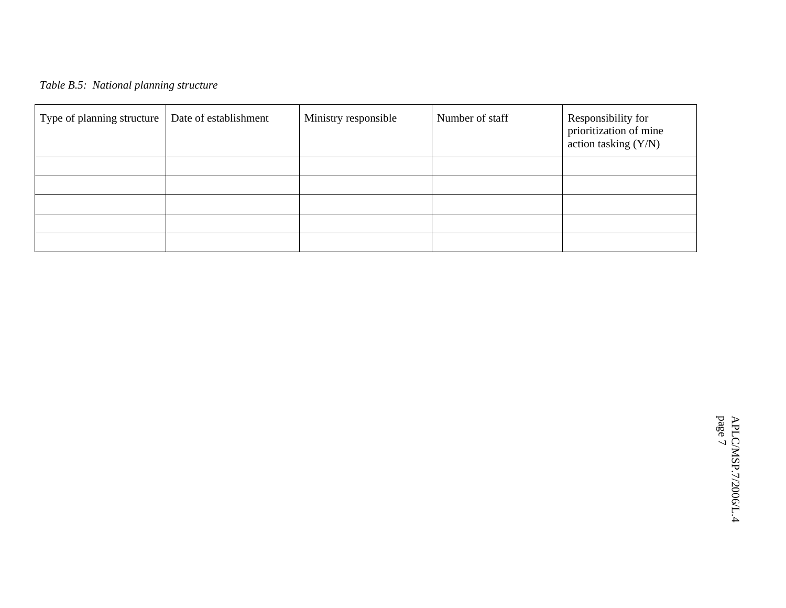# *Table B.5: National planning structure*

| Type of planning structure | Date of establishment | Ministry responsible | Number of staff | Responsibility for<br>prioritization of mine<br>action tasking (Y/N) |
|----------------------------|-----------------------|----------------------|-----------------|----------------------------------------------------------------------|
|                            |                       |                      |                 |                                                                      |
|                            |                       |                      |                 |                                                                      |
|                            |                       |                      |                 |                                                                      |
|                            |                       |                      |                 |                                                                      |
|                            |                       |                      |                 |                                                                      |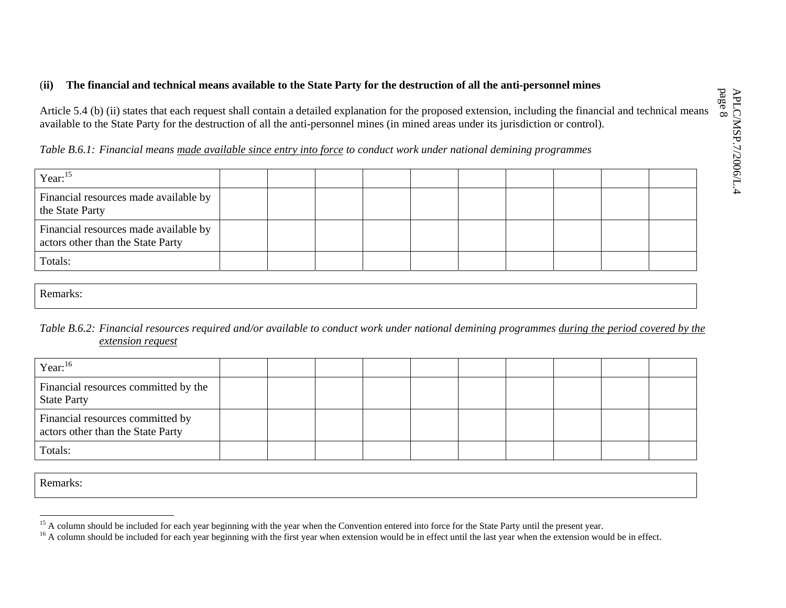## (**ii) The financial and technical means available to the State Party for the destruction of all the anti-personnel mines**

Article 5.4 (b) (ii) states that each request shall contain a detailed explanation for the proposed extension, including the financial and technical means available to the State Party for the destruction of all the anti-personnel mines (in mined areas under its jurisdiction or control).

*Table B.6.1: Financial means made available since entry into force to conduct work under national demining programmes*

| Year: $15$                                                                 |  |  |  |  |  |
|----------------------------------------------------------------------------|--|--|--|--|--|
| Financial resources made available by<br>the State Party                   |  |  |  |  |  |
| Financial resources made available by<br>actors other than the State Party |  |  |  |  |  |
| Totals:                                                                    |  |  |  |  |  |

Remarks:

## *Table B.6.2: Financial resources required and/or available to conduct work under national demining programmes during the period covered by the extension request*

| Year: $16$                                                            |  |  |  |  |  |
|-----------------------------------------------------------------------|--|--|--|--|--|
| Financial resources committed by the<br><b>State Party</b>            |  |  |  |  |  |
| Financial resources committed by<br>actors other than the State Party |  |  |  |  |  |
| Totals:                                                               |  |  |  |  |  |

<sup>&</sup>lt;sup>15</sup> A column should be included for each year beginning with the year when the Convention entered into force for the State Party until the present year.

<sup>&</sup>lt;sup>16</sup> A column should be included for each year beginning with the first year when extension would be in effect until the last year when the extension would be in effect.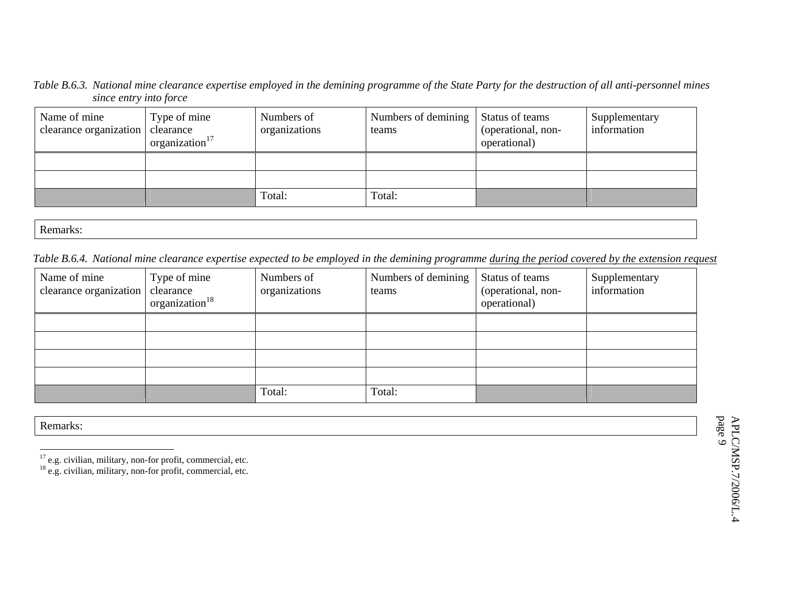*Table B.6.3. National mine clearance expertise employed in the demining programme of the State Party for the destruction of all anti-personnel mines since entry into force* 

| Name of mine<br>clearance organization | Type of mine<br>clearance<br>organization $17$ | Numbers of<br>organizations | Numbers of demining<br>teams | Status of teams<br>(operational, non-<br>operational) | Supplementary<br>information |
|----------------------------------------|------------------------------------------------|-----------------------------|------------------------------|-------------------------------------------------------|------------------------------|
|                                        |                                                |                             |                              |                                                       |                              |
|                                        |                                                |                             |                              |                                                       |                              |
|                                        |                                                | Total:                      | Total:                       |                                                       |                              |

Remarks:

*Table B.6.4. National mine clearance expertise expected to be employed in the demining programme during the period covered by the extension request*

| Name of mine<br>clearance organization | Type of mine<br>clearance<br>organization $18$ | Numbers of<br>organizations | Numbers of demining<br>teams | Status of teams<br>(operational, non-<br>operational) | Supplementary<br>information |
|----------------------------------------|------------------------------------------------|-----------------------------|------------------------------|-------------------------------------------------------|------------------------------|
|                                        |                                                |                             |                              |                                                       |                              |
|                                        |                                                |                             |                              |                                                       |                              |
|                                        |                                                |                             |                              |                                                       |                              |
|                                        |                                                |                             |                              |                                                       |                              |
|                                        |                                                | Total:                      | Total:                       |                                                       |                              |

 $17$  e.g. civilian, military, non-for profit, commercial, etc.

 $18$  e.g. civilian, military, non-for profit, commercial, etc.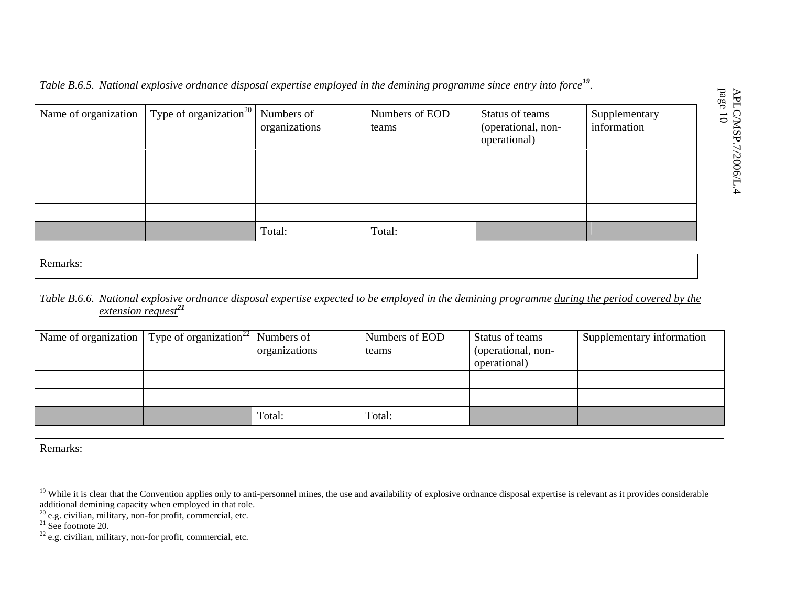*Table B.6.5. National explosive ordnance disposal expertise employed in the demining programme since entry into force<sup>19</sup>.* 

| Name of organization $\int Type\ of\ organization^{20}$ Numbers of | organizations | Numbers of EOD<br>teams | Status of teams<br>(operational, non-<br>operational) | Supplementary<br>information |
|--------------------------------------------------------------------|---------------|-------------------------|-------------------------------------------------------|------------------------------|
|                                                                    |               |                         |                                                       |                              |
|                                                                    |               |                         |                                                       |                              |
|                                                                    |               |                         |                                                       |                              |
|                                                                    |               |                         |                                                       |                              |
|                                                                    | Total:        | Total:                  |                                                       |                              |

Remarks:

## *Table B.6.6. National explosive ordnance disposal expertise expected to be employed in the demining programme during the period covered by the extension request<sup>21</sup>*

| Name of organization   Type of organization <sup>22</sup>   Numbers of | organizations | Numbers of EOD<br>teams | Status of teams<br>(operational, non-<br>operational) | Supplementary information |
|------------------------------------------------------------------------|---------------|-------------------------|-------------------------------------------------------|---------------------------|
|                                                                        |               |                         |                                                       |                           |
|                                                                        |               |                         |                                                       |                           |
|                                                                        | Total:        | Total:                  |                                                       |                           |

<sup>&</sup>lt;sup>19</sup> While it is clear that the Convention applies only to anti-personnel mines, the use and availability of explosive ordnance disposal expertise is relevant as it provides considerable additional demining capacity when employed in that role.

 $20$  e.g. civilian, military, non-for profit, commercial, etc.

<sup>&</sup>lt;sup>21</sup> See footnote 20.<br><sup>22</sup> e.g. civilian, military, non-for profit, commercial, etc.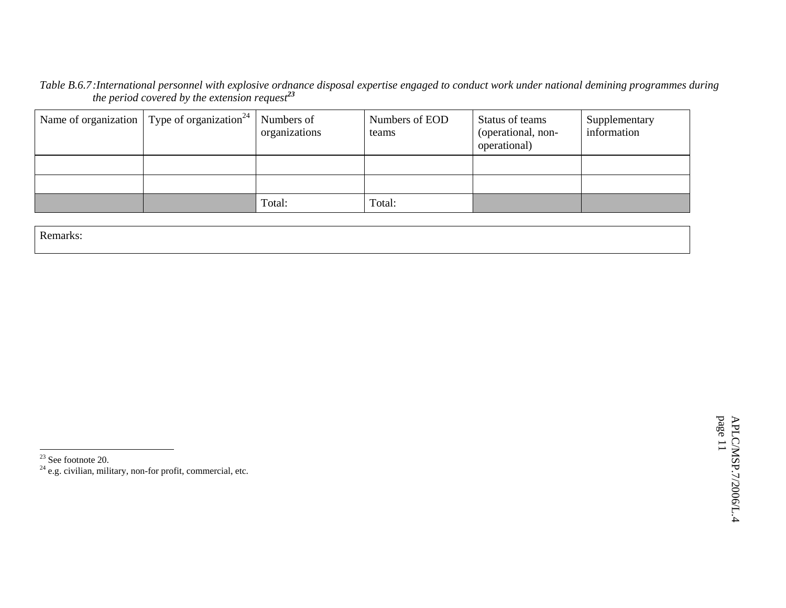*Table B.6.7 :International personnel with explosive ordnance disposal expertise engaged to conduct work under national demining programmes during the period covered by the extension request<sup>23</sup>*

| Name of organization $\mid$ Type of organization <sup>24</sup> $\mid$ Numbers of | organizations | Numbers of EOD<br>teams | Status of teams<br>(operational, non-<br>operational) | Supplementary<br>information |
|----------------------------------------------------------------------------------|---------------|-------------------------|-------------------------------------------------------|------------------------------|
|                                                                                  |               |                         |                                                       |                              |
|                                                                                  |               |                         |                                                       |                              |
|                                                                                  | Total:        | Total:                  |                                                       |                              |

Remarks:

<sup>23</sup> See footnote 20.<br><sup>24</sup> e.g. civilian, military, non-for profit, commercial, etc.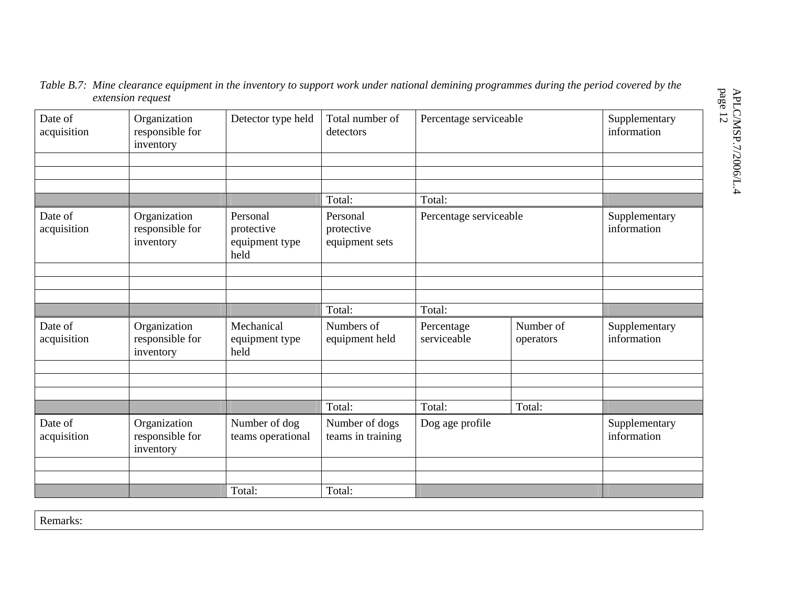## *Table B.7: Mine clearance equipment in the inventory to support work under national demining programmes during the period covered by the extension request*

| Date of<br>acquisition | Organization<br>responsible for<br>inventory | Detector type held                               | Total number of<br>detectors             | Percentage serviceable    |                        | Supplementary<br>information |
|------------------------|----------------------------------------------|--------------------------------------------------|------------------------------------------|---------------------------|------------------------|------------------------------|
|                        |                                              |                                                  |                                          |                           |                        |                              |
|                        |                                              |                                                  |                                          |                           |                        |                              |
|                        |                                              |                                                  | Total:                                   | Total:                    |                        |                              |
| Date of<br>acquisition | Organization<br>responsible for<br>inventory | Personal<br>protective<br>equipment type<br>held | Personal<br>protective<br>equipment sets | Percentage serviceable    |                        | Supplementary<br>information |
|                        |                                              |                                                  |                                          |                           |                        |                              |
|                        |                                              |                                                  |                                          |                           |                        |                              |
|                        |                                              |                                                  |                                          |                           |                        |                              |
|                        |                                              |                                                  | Total:                                   | Total:                    |                        |                              |
| Date of<br>acquisition | Organization<br>responsible for<br>inventory | Mechanical<br>equipment type<br>held             | Numbers of<br>equipment held             | Percentage<br>serviceable | Number of<br>operators | Supplementary<br>information |
|                        |                                              |                                                  |                                          |                           |                        |                              |
|                        |                                              |                                                  |                                          |                           |                        |                              |
|                        |                                              |                                                  |                                          |                           |                        |                              |
|                        |                                              |                                                  | Total:                                   | Total:                    | Total:                 |                              |
| Date of<br>acquisition | Organization<br>responsible for<br>inventory | Number of dog<br>teams operational               | Number of dogs<br>teams in training      | Dog age profile           |                        | Supplementary<br>information |
|                        |                                              |                                                  |                                          |                           |                        |                              |
|                        |                                              |                                                  |                                          |                           |                        |                              |
|                        |                                              | Total:                                           | Total:                                   |                           |                        |                              |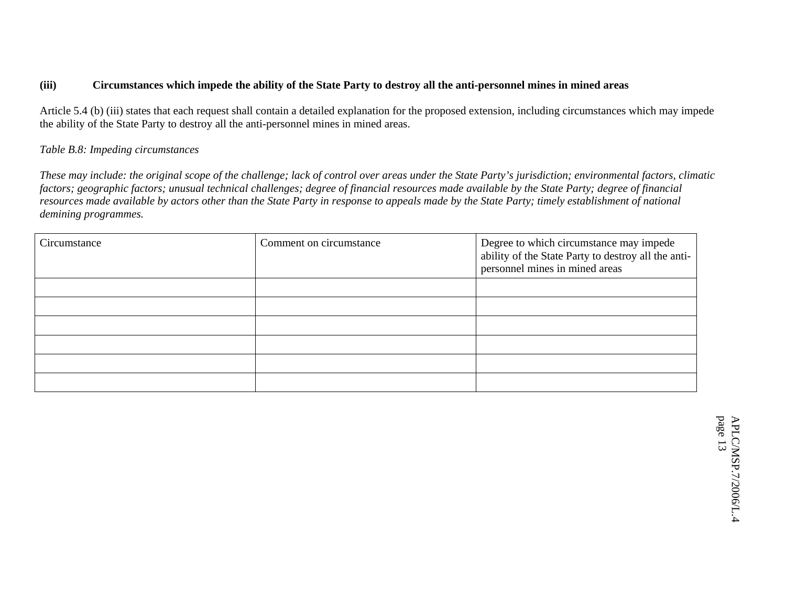## **(iii) Circumstances which impede the ability of the State Party to destroy all the anti-personnel mines in mined areas**

Article 5.4 (b) (iii) states that each request shall contain a detailed explanation for the proposed extension, including circumstances which may impede the ability of the State Party to destroy all the anti-personnel mines in mined areas.

#### *Table B.8: Impeding circumstances*

*These may include: the original scope of the challenge; lack of control over areas under the State Party's jurisdiction; environmental factors, climatic factors; geographic factors; unusual technical challenges; degree of financial resources made available by the State Party; degree of financial resources made available by actors other than the State Party in response to appeals made by the State Party; timely establishment of national demining programmes.* 

| Circumstance | Comment on circumstance | Degree to which circumstance may impede<br>ability of the State Party to destroy all the anti-<br>personnel mines in mined areas |
|--------------|-------------------------|----------------------------------------------------------------------------------------------------------------------------------|
|              |                         |                                                                                                                                  |
|              |                         |                                                                                                                                  |
|              |                         |                                                                                                                                  |
|              |                         |                                                                                                                                  |
|              |                         |                                                                                                                                  |
|              |                         |                                                                                                                                  |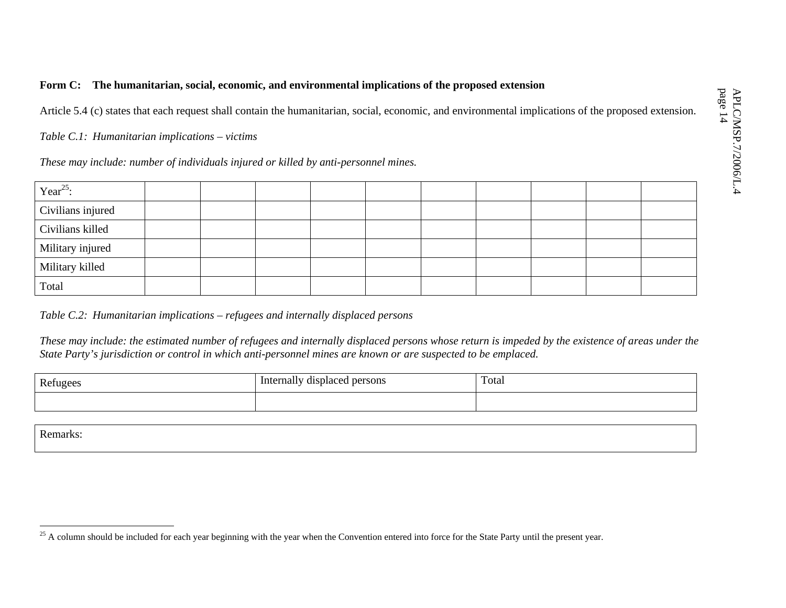## **Form C: The humanitarian, social, economic, and environmental implications of the proposed extension**

Article 5.4 (c) states that each request shall contain the humanitarian, social, economic, and environmental implications of the proposed extension.

*Table C.1: Humanitarian implications – victims* 

*These may include: number of individuals injured or killed by anti-personnel mines.* 

| Year <sup>25</sup> : |  |  |  |  |  |
|----------------------|--|--|--|--|--|
| Civilians injured    |  |  |  |  |  |
| Civilians killed     |  |  |  |  |  |
| Military injured     |  |  |  |  |  |
| Military killed      |  |  |  |  |  |
| Total                |  |  |  |  |  |

*Table C.2: Humanitarian implications – refugees and internally displaced persons* 

*These may include: the estimated number of refugees and internally displaced persons whose return is impeded by the existence of areas under the State Party's jurisdiction or control in which anti-personnel mines are known or are suspected to be emplaced.* 

| Refugees | Internally displaced persons | Total |
|----------|------------------------------|-------|
|          |                              |       |

<sup>&</sup>lt;sup>25</sup> A column should be included for each year beginning with the year when the Convention entered into force for the State Party until the present year.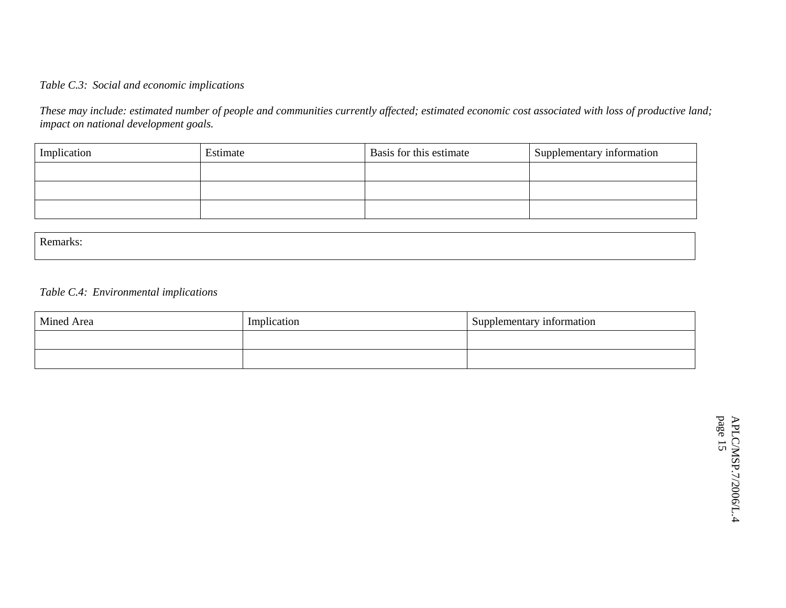#### *Table C.3: Social and economic implications*

*These may include: estimated number of people and communities currently affected; estimated economic cost associated with loss of productive land; impact on national development goals.* 

| Implication | Estimate | Basis for this estimate | Supplementary information |
|-------------|----------|-------------------------|---------------------------|
|             |          |                         |                           |
|             |          |                         |                           |
|             |          |                         |                           |

| $\mathbf{r}$ |  |  |
|--------------|--|--|
|              |  |  |

## *Table C.4: Environmental implications*

| Mined Area | Implication | Supplementary information |
|------------|-------------|---------------------------|
|            |             |                           |
|            |             |                           |